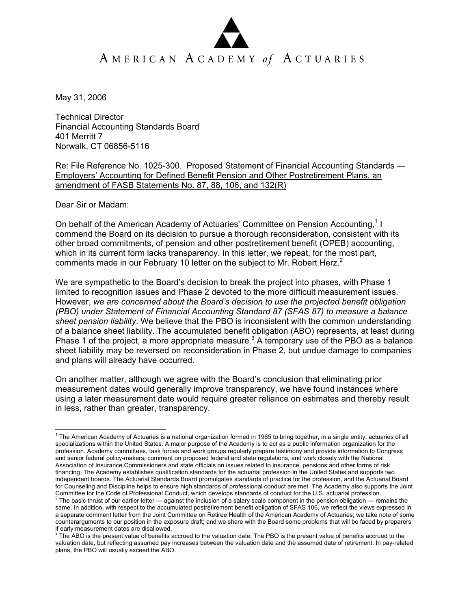## AMERICAN ACADEMY of ACTUARIES

May 31, 2006

Technical Director Financial Accounting Standards Board 401 Merritt 7 Norwalk, CT 06856-5116

Re: File Reference No. 1025-300. Proposed Statement of Financial Accounting Standards — Employers' Accounting for Defined Benefit Pension and Other Postretirement Plans, an amendment of FASB Statements No. 87, 88, 106, and 132(R)

Dear Sir or Madam:

On behalf of the American Academy of Actuaries' Committee on Pension Accounting,<sup>1</sup> I commend the Board on its decision to pursue a thorough reconsideration, consistent with its other broad commitments, of pension and other postretirement benefit (OPEB) accounting, which in its current form lacks transparency. In this letter, we repeat, for the most part, comments made in our February 10 letter on the subject to Mr. Robert Herz.<sup>2</sup>

We are sympathetic to the Board's decision to break the project into phases, with Phase 1 limited to recognition issues and Phase 2 devoted to the more difficult measurement issues. However, *we are concerned about the Board's decision to use the projected benefit obligation (PBO) under Statement of Financial Accounting Standard 87 (SFAS 87) to measure a balance sheet pension liability*. We believe that the PBO is inconsistent with the common understanding of a balance sheet liability. The accumulated benefit obligation (ABO) represents, at least during Phase 1 of the project, a more appropriate measure.<sup>3</sup> A temporary use of the PBO as a balance sheet liability may be reversed on reconsideration in Phase 2, but undue damage to companies and plans will already have occurred.

On another matter, although we agree with the Board's conclusion that eliminating prior measurement dates would generally improve transparency, we have found instances where using a later measurement date would require greater reliance on estimates and thereby result in less, rather than greater, transparency.

 $\overline{a}$  $1$  The American Academy of Actuaries is a national organization formed in 1965 to bring together, in a single entity, actuaries of all specializations within the United States. A major purpose of the Academy is to act as a public information organization for the profession. Academy committees, task forces and work groups regularly prepare testimony and provide information to Congress and senior federal policy-makers, comment on proposed federal and state regulations, and work closely with the National Association of Insurance Commissioners and state officials on issues related to insurance, pensions and other forms of risk financing. The Academy establishes qualification standards for the actuarial profession in the United States and supports two independent boards. The Actuarial Standards Board promulgates standards of practice for the profession, and the Actuarial Board for Counseling and Discipline helps to ensure high standards of professional conduct are met. The Academy also supports the Joint Committee for the Code of Professional Conduct, which develops standards of conduct for the U.S. actuarial profession.<br><sup>2</sup> The basic thrust of our earlier letter — against the inclusion of a salary scale component in the p

same. In addition, with respect to the accumulated postretirement benefit obligation of SFAS 106, we reflect the views expressed in a separate comment letter from the Joint Committee on Retiree Health of the American Academy of Actuaries; we take note of some counterarguments to our position in the exposure draft; and we share with the Board some problems that will be faced by preparers

if early measurement dates are disallowed.<br><sup>3</sup> The ABO is the present value of benefits accrued to the valuation date. The PBO is the present value of benefits accrued to the valuation date, but reflecting assumed pay increases between the valuation date and the assumed date of retirement. In pay-related plans, the PBO will usually exceed the ABO.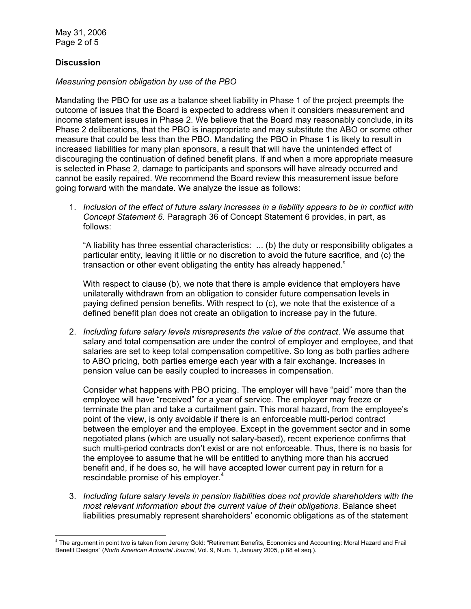May 31, 2006 Page 2 of 5

## **Discussion**

## *Measuring pension obligation by use of the PBO*

Mandating the PBO for use as a balance sheet liability in Phase 1 of the project preempts the outcome of issues that the Board is expected to address when it considers measurement and income statement issues in Phase 2. We believe that the Board may reasonably conclude, in its Phase 2 deliberations, that the PBO is inappropriate and may substitute the ABO or some other measure that could be less than the PBO. Mandating the PBO in Phase 1 is likely to result in increased liabilities for many plan sponsors, a result that will have the unintended effect of discouraging the continuation of defined benefit plans. If and when a more appropriate measure is selected in Phase 2, damage to participants and sponsors will have already occurred and cannot be easily repaired. We recommend the Board review this measurement issue before going forward with the mandate. We analyze the issue as follows:

1. *Inclusion of the effect of future salary increases in a liability appears to be in conflict with Concept Statement 6.* Paragraph 36 of Concept Statement 6 provides, in part, as follows:

"A liability has three essential characteristics: ... (b) the duty or responsibility obligates a particular entity, leaving it little or no discretion to avoid the future sacrifice, and (c) the transaction or other event obligating the entity has already happened."

With respect to clause (b), we note that there is ample evidence that employers have unilaterally withdrawn from an obligation to consider future compensation levels in paying defined pension benefits. With respect to (c), we note that the existence of a defined benefit plan does not create an obligation to increase pay in the future.

2. *Including future salary levels misrepresents the value of the contract*. We assume that salary and total compensation are under the control of employer and employee, and that salaries are set to keep total compensation competitive. So long as both parties adhere to ABO pricing, both parties emerge each year with a fair exchange. Increases in pension value can be easily coupled to increases in compensation.

 Consider what happens with PBO pricing. The employer will have "paid" more than the employee will have "received" for a year of service. The employer may freeze or terminate the plan and take a curtailment gain. This moral hazard, from the employee's point of the view, is only avoidable if there is an enforceable multi-period contract between the employer and the employee. Except in the government sector and in some negotiated plans (which are usually not salary-based), recent experience confirms that such multi-period contracts don't exist or are not enforceable. Thus, there is no basis for the employee to assume that he will be entitled to anything more than his accrued benefit and, if he does so, he will have accepted lower current pay in return for a rescindable promise of his employer.<sup>4</sup>

3. *Including future salary levels in pension liabilities does not provide shareholders with the most relevant information about the current value of their obligations*. Balance sheet liabilities presumably represent shareholders' economic obligations as of the statement

 4 The argument in point two is taken from Jeremy Gold: "Retirement Benefits, Economics and Accounting: Moral Hazard and Frail Benefit Designs" (*North American Actuarial Journal*, Vol. 9, Num. 1, January 2005, p 88 et seq.).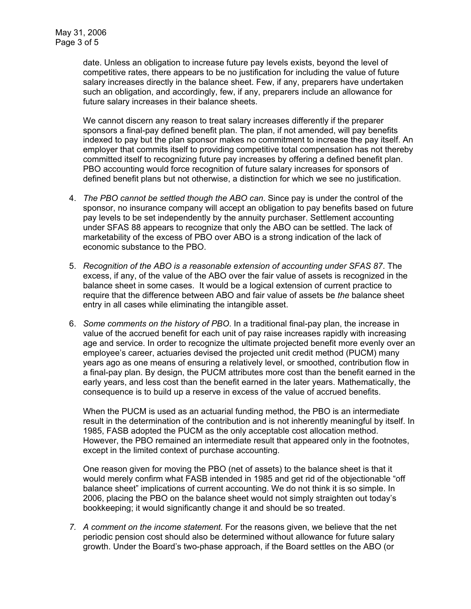date. Unless an obligation to increase future pay levels exists, beyond the level of competitive rates, there appears to be no justification for including the value of future salary increases directly in the balance sheet. Few, if any, preparers have undertaken such an obligation, and accordingly, few, if any, preparers include an allowance for future salary increases in their balance sheets.

 We cannot discern any reason to treat salary increases differently if the preparer sponsors a final-pay defined benefit plan. The plan, if not amended, will pay benefits indexed to pay but the plan sponsor makes no commitment to increase the pay itself. An employer that commits itself to providing competitive total compensation has not thereby committed itself to recognizing future pay increases by offering a defined benefit plan. PBO accounting would force recognition of future salary increases for sponsors of defined benefit plans but not otherwise, a distinction for which we see no justification.

- 4. *The PBO cannot be settled though the ABO can*. Since pay is under the control of the sponsor, no insurance company will accept an obligation to pay benefits based on future pay levels to be set independently by the annuity purchaser. Settlement accounting under SFAS 88 appears to recognize that only the ABO can be settled. The lack of marketability of the excess of PBO over ABO is a strong indication of the lack of economic substance to the PBO.
- 5. *Recognition of the ABO is a reasonable extension of accounting under SFAS 87*. The excess, if any, of the value of the ABO over the fair value of assets is recognized in the balance sheet in some cases. It would be a logical extension of current practice to require that the difference between ABO and fair value of assets be *the* balance sheet entry in all cases while eliminating the intangible asset.
- 6. *Some comments on the history of PBO*. In a traditional final-pay plan, the increase in value of the accrued benefit for each unit of pay raise increases rapidly with increasing age and service. In order to recognize the ultimate projected benefit more evenly over an employee's career, actuaries devised the projected unit credit method (PUCM) many years ago as one means of ensuring a relatively level, or smoothed, contribution flow in a final-pay plan. By design, the PUCM attributes more cost than the benefit earned in the early years, and less cost than the benefit earned in the later years. Mathematically, the consequence is to build up a reserve in excess of the value of accrued benefits.

When the PUCM is used as an actuarial funding method, the PBO is an intermediate result in the determination of the contribution and is not inherently meaningful by itself. In 1985, FASB adopted the PUCM as the only acceptable cost allocation method. However, the PBO remained an intermediate result that appeared only in the footnotes, except in the limited context of purchase accounting.

 One reason given for moving the PBO (net of assets) to the balance sheet is that it would merely confirm what FASB intended in 1985 and get rid of the objectionable "off balance sheet" implications of current accounting. We do not think it is so simple. In 2006, placing the PBO on the balance sheet would not simply straighten out today's bookkeeping; it would significantly change it and should be so treated.

*7. A comment on the income statement.* For the reasons given, we believe that the net periodic pension cost should also be determined without allowance for future salary growth. Under the Board's two-phase approach, if the Board settles on the ABO (or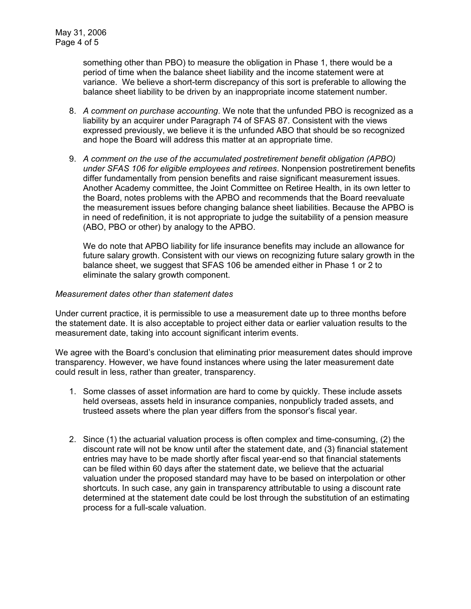something other than PBO) to measure the obligation in Phase 1, there would be a period of time when the balance sheet liability and the income statement were at variance. We believe a short-term discrepancy of this sort is preferable to allowing the balance sheet liability to be driven by an inappropriate income statement number.

- 8. *A comment on purchase accounting*. We note that the unfunded PBO is recognized as a liability by an acquirer under Paragraph 74 of SFAS 87. Consistent with the views expressed previously, we believe it is the unfunded ABO that should be so recognized and hope the Board will address this matter at an appropriate time.
- 9. *A comment on the use of the accumulated postretirement benefit obligation (APBO) under SFAS 106 for eligible employees and retirees*. Nonpension postretirement benefits differ fundamentally from pension benefits and raise significant measurement issues. Another Academy committee, the Joint Committee on Retiree Health, in its own letter to the Board, notes problems with the APBO and recommends that the Board reevaluate the measurement issues before changing balance sheet liabilities. Because the APBO is in need of redefinition, it is not appropriate to judge the suitability of a pension measure (ABO, PBO or other) by analogy to the APBO.

We do note that APBO liability for life insurance benefits may include an allowance for future salary growth. Consistent with our views on recognizing future salary growth in the balance sheet, we suggest that SFAS 106 be amended either in Phase 1 or 2 to eliminate the salary growth component.

## *Measurement dates other than statement dates*

Under current practice, it is permissible to use a measurement date up to three months before the statement date. It is also acceptable to project either data or earlier valuation results to the measurement date, taking into account significant interim events.

We agree with the Board's conclusion that eliminating prior measurement dates should improve transparency. However, we have found instances where using the later measurement date could result in less, rather than greater, transparency.

- 1. Some classes of asset information are hard to come by quickly. These include assets held overseas, assets held in insurance companies, nonpublicly traded assets, and trusteed assets where the plan year differs from the sponsor's fiscal year.
- 2. Since (1) the actuarial valuation process is often complex and time-consuming, (2) the discount rate will not be know until after the statement date, and (3) financial statement entries may have to be made shortly after fiscal year-end so that financial statements can be filed within 60 days after the statement date, we believe that the actuarial valuation under the proposed standard may have to be based on interpolation or other shortcuts. In such case, any gain in transparency attributable to using a discount rate determined at the statement date could be lost through the substitution of an estimating process for a full-scale valuation.